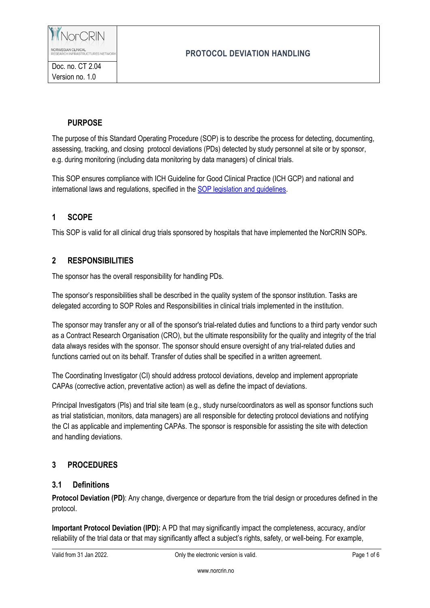

# **PROTOCOL DEVIATION HANDLING**

## **PURPOSE**

The purpose of this Standard Operating Procedure (SOP) is to describe the process for detecting, documenting, assessing, tracking, and closing protocol deviations (PDs) detected by study personnel at site or by sponsor, e.g. during monitoring (including data monitoring by data managers) of clinical trials.

This SOP ensures compliance with ICH Guideline for Good Clinical Practice (ICH GCP) and national and international laws and regulations, specified in th[e SOP legislation and guidelines.](https://www.norcrin.no/documents/2022/01/ct-1-02-legislation-and-guidelines.docx/)

## **1 SCOPE**

This SOP is valid for all clinical drug trials sponsored by hospitals that have implemented the NorCRIN SOPs.

## **2 RESPONSIBILITIES**

The sponsor has the overall responsibility for handling PDs.

The sponsor's responsibilities shall be described in the quality system of the sponsor institution. Tasks are delegated according to SOP Roles and Responsibilities in clinical trials implemented in the institution.

The sponsor may transfer any or all of the sponsor's trial-related duties and functions to a third party vendor such as a Contract Research Organisation (CRO), but the ultimate responsibility for the quality and integrity of the trial data always resides with the sponsor. The sponsor should ensure oversight of any trial-related duties and functions carried out on its behalf. Transfer of duties shall be specified in a written agreement.

The Coordinating Investigator (CI) should address protocol deviations, develop and implement appropriate CAPAs (corrective action, preventative action) as well as define the impact of deviations.

Principal Investigators (PIs) and trial site team (e.g., study nurse/coordinators as well as sponsor functions such as trial statistician, monitors, data managers) are all responsible for detecting protocol deviations and notifying the CI as applicable and implementing CAPAs. The sponsor is responsible for assisting the site with detection and handling deviations.

## **3 PROCEDURES**

#### **3.1 Definitions**

**Protocol Deviation (PD)**: Any change, divergence or departure from the trial design or procedures defined in the protocol.

**Important Protocol Deviation (IPD):** A PD that may significantly impact the completeness, accuracy, and/or reliability of the trial data or that may significantly affect a subject's rights, safety, or well-being. For example,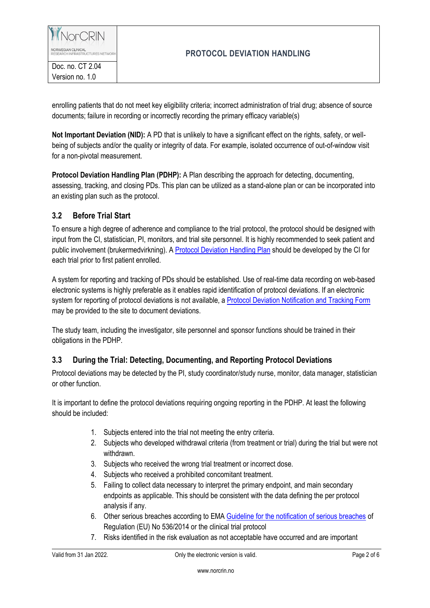

## **PROTOCOL DEVIATION HANDLING**

enrolling patients that do not meet key eligibility criteria; incorrect administration of trial drug; absence of source documents; failure in recording or incorrectly recording the primary efficacy variable(s)

**Not Important Deviation (NID):** A PD that is unlikely to have a significant effect on the rights, safety, or wellbeing of subjects and/or the quality or integrity of data. For example, isolated occurrence of out-of-window visit for a non-pivotal measurement.

**Protocol Deviation Handling Plan (PDHP):** A Plan describing the approach for detecting, documenting, assessing, tracking, and closing PDs. This plan can be utilized as a stand-alone plan or can be incorporated into an existing plan such as the protocol.

## **3.2 Before Trial Start**

To ensure a high degree of adherence and compliance to the trial protocol, the protocol should be designed with input from the CI, statistician, PI, monitors, and trial site personnel. It is highly recommended to seek patient and public involvement (brukermedvirkning). [A Protocol Deviation Handling Plan](https://www.norcrin.no/documents/2022/01/ct-2-04-01-protocol-deviation-handling-plan.docx/) should be developed by the CI for each trial prior to first patient enrolled.

A system for reporting and tracking of PDs should be established. Use of real-time data recording on web-based electronic systems is highly preferable as it enables rapid identification of protocol deviations. If an electronic system for reporting of protocol deviations is not available, a [Protocol Deviation Notification and Tracking Form](https://www.norcrin.no/documents/2021/12/ct-2-04-02-protocol-deviation-notification-and-tracking-form.docx/) may be provided to the site to document deviations.

The study team, including the investigator, site personnel and sponsor functions should be trained in their obligations in the PDHP.

## **3.3 During the Trial: Detecting, Documenting, and Reporting Protocol Deviations**

Protocol deviations may be detected by the PI, study coordinator/study nurse, monitor, data manager, statistician or other function.

It is important to define the protocol deviations requiring ongoing reporting in the PDHP. At least the following should be included:

- 1. Subjects entered into the trial not meeting the entry criteria.
- 2. Subjects who developed withdrawal criteria (from treatment or trial) during the trial but were not withdrawn.
- 3. Subjects who received the wrong trial treatment or incorrect dose.
- 4. Subjects who received a prohibited concomitant treatment.
- 5. Failing to collect data necessary to interpret the primary endpoint, and main secondary endpoints as applicable. This should be consistent with the data defining the per protocol analysis if any.
- 6. Other serious breaches according to EMA [Guideline for the notification of serious breaches](https://www.ema.europa.eu/en/documents/scientific-guideline/guideline-notification-serious-breaches-regulation-eu-no-536/2014-clinical-trial-protocol_en.pdf) of Regulation (EU) No 536/2014 or the clinical trial protocol
- 7. Risks identified in the risk evaluation as not acceptable have occurred and are important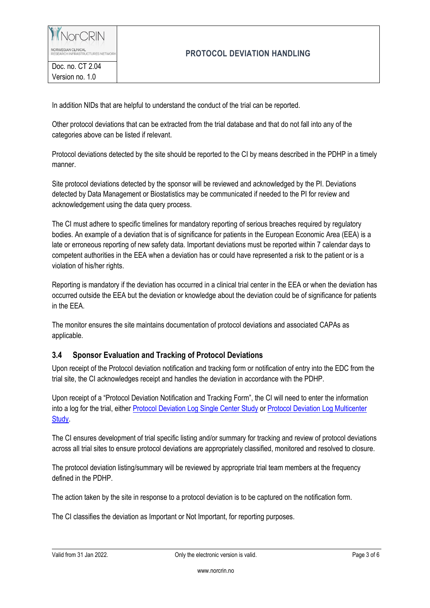NorCRIN NORWEGIAN CLINICAL<br>RESEARCH INFRASTRUCTURES NETWORI

Doc. no. CT 2.04 Version no. 1.0

## **PROTOCOL DEVIATION HANDLING**

In addition NIDs that are helpful to understand the conduct of the trial can be reported.

Other protocol deviations that can be extracted from the trial database and that do not fall into any of the categories above can be listed if relevant.

Protocol deviations detected by the site should be reported to the CI by means described in the PDHP in a timely manner.

Site protocol deviations detected by the sponsor will be reviewed and acknowledged by the PI. Deviations detected by Data Management or Biostatistics may be communicated if needed to the PI for review and acknowledgement using the data query process.

The CI must adhere to specific timelines for mandatory reporting of serious breaches required by regulatory bodies. An example of a deviation that is of significance for patients in the European Economic Area (EEA) is a late or erroneous reporting of new safety data. Important deviations must be reported within 7 calendar days to competent authorities in the EEA when a deviation has or could have represented a risk to the patient or is a violation of his/her rights.

Reporting is mandatory if the deviation has occurred in a clinical trial center in the EEA or when the deviation has occurred outside the EEA but the deviation or knowledge about the deviation could be of significance for patients in the EEA.

The monitor ensures the site maintains documentation of protocol deviations and associated CAPAs as applicable.

## **3.4 Sponsor Evaluation and Tracking of Protocol Deviations**

Upon receipt of the Protocol deviation notification and tracking form or notification of entry into the EDC from the trial site, the CI acknowledges receipt and handles the deviation in accordance with the PDHP.

Upon receipt of a "Protocol Deviation Notification and Tracking Form", the CI will need to enter the information into a log for the trial, either [Protocol Deviation Log Single Center Study](https://www.norcrin.no/documents/2021/12/ct-2-04-03-protocol-deviation-log-single-center-study.xlsx/) or [Protocol Deviation Log Multicenter](https://www.norcrin.no/documents/2021/12/ct-2-04-04-protocol-deviation-log-multicenter-study.xlsx/)  [Study.](https://www.norcrin.no/documents/2021/12/ct-2-04-04-protocol-deviation-log-multicenter-study.xlsx/)

The CI ensures development of trial specific listing and/or summary for tracking and review of protocol deviations across all trial sites to ensure protocol deviations are appropriately classified, monitored and resolved to closure.

The protocol deviation listing/summary will be reviewed by appropriate trial team members at the frequency defined in the PDHP.

The action taken by the site in response to a protocol deviation is to be captured on the notification form.

The CI classifies the deviation as Important or Not Important, for reporting purposes.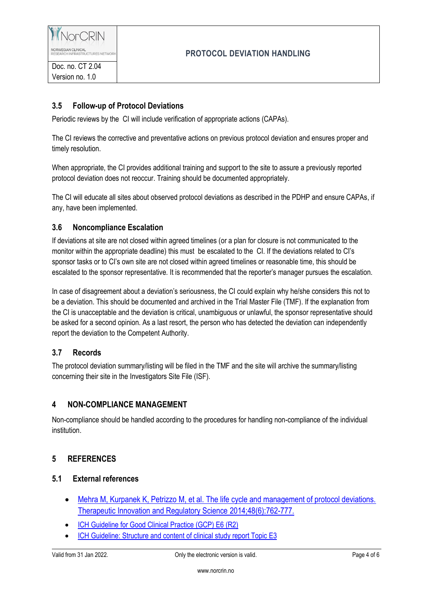

## **3.5 Follow-up of Protocol Deviations**

Periodic reviews by the CI will include verification of appropriate actions (CAPAs).

The CI reviews the corrective and preventative actions on previous protocol deviation and ensures proper and timely resolution.

When appropriate, the CI provides additional training and support to the site to assure a previously reported protocol deviation does not reoccur. Training should be documented appropriately.

The CI will educate all sites about observed protocol deviations as described in the PDHP and ensure CAPAs, if any, have been implemented.

#### **3.6 Noncompliance Escalation**

If deviations at site are not closed within agreed timelines (or a plan for closure is not communicated to the monitor within the appropriate deadline) this must be escalated to the CI. If the deviations related to CI's sponsor tasks or to CI's own site are not closed within agreed timelines or reasonable time, this should be escalated to the sponsor representative*.* It is recommended that the reporter's manager pursues the escalation.

In case of disagreement about a deviation's seriousness, the CI could explain why he/she considers this not to be a deviation. This should be documented and archived in the Trial Master File (TMF). If the explanation from the CI is unacceptable and the deviation is critical, unambiguous or unlawful, the sponsor representative should be asked for a second opinion. As a last resort, the person who has detected the deviation can independently report the deviation to the Competent Authority.

## **3.7 Records**

The protocol deviation summary/listing will be filed in the TMF and the site will archive the summary/listing concerning their site in the Investigators Site File (ISF).

## **4 NON-COMPLIANCE MANAGEMENT**

Non-compliance should be handled according to the procedures for handling non-compliance of the individual institution.

#### **5 REFERENCES**

#### **5.1 External references**

- [Mehra M, Kurpanek K, Petrizzo M, et al. The life cycle and management of protocol deviations.](https://pubmed.ncbi.nlm.nih.gov/30227474/)  [Therapeutic Innovation and Regulatory Science 2014;48\(6\):762-777.](https://pubmed.ncbi.nlm.nih.gov/30227474/)
- [ICH Guideline for Good Clinical Practice \(GCP\) E6 \(R2\)](http://www.ema.europa.eu/docs/en_GB/document_library/Scientific_guideline/2009/09/WC500002874.pdf)
- ICH [Guideline: Structure and content](https://www.ema.europa.eu/en/documents/scientific-guideline/ich-e-3-structure-content-clinical-study-reports-step-5_en.pdf) of clinical study report Topic E3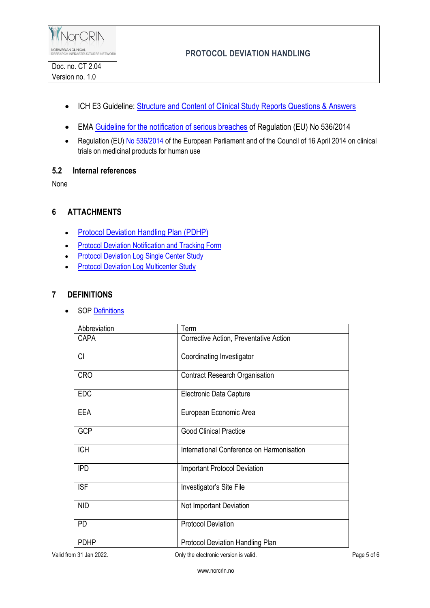- ICH E3 Guideline: Structure [and Content of Clinical Study Reports Questions & Answers](https://database.ich.org/sites/default/files/E3_Q%26As_R1_Q%26As.pdf)
- EMA [Guideline for the notification of serious breaches](https://www.ema.europa.eu/en/documents/scientific-guideline/guideline-notification-serious-breaches-regulation-eu-no-536/2014-clinical-trial-protocol_en.pdf) of Regulation (EU) No 536/2014
- Regulation (EU[\) No 536/2014](http://eur-lex.europa.eu/legal-content/EN/TXT/?uri=celex%3A32014R0536) of the European Parliament and of the Council of 16 April 2014 on clinical trials on medicinal products for human use

#### **5.2 Internal references**

None

## **6 ATTACHMENTS**

- [Protocol Deviation Handling Plan \(PDHP\)](https://www.norcrin.no/documents/2022/01/ct-2-04-01-protocol-deviation-handling-plan.docx/)
- **[Protocol Deviation Notification and Tracking Form](https://www.norcrin.no/documents/2021/12/ct-2-04-02-protocol-deviation-notification-and-tracking-form.docx/)**
- [Protocol Deviation Log Single Center](https://www.norcrin.no/documents/2021/12/ct-2-04-03-protocol-deviation-log-single-center-study.xlsx/) Study
- **•** [Protocol Deviation Log Multicenter](https://www.norcrin.no/documents/2021/12/ct-2-04-04-protocol-deviation-log-multicenter-study.xlsx/) Study

#### **7 DEFINITIONS**

• SO[P Definitions](https://www.norcrin.no/documents/2022/01/ct-1-01-definitions.docx/)

| Abbreviation | Term                                      |
|--------------|-------------------------------------------|
| <b>CAPA</b>  | Corrective Action, Preventative Action    |
| CI           | Coordinating Investigator                 |
| <b>CRO</b>   | <b>Contract Research Organisation</b>     |
| <b>EDC</b>   | Electronic Data Capture                   |
| <b>EEA</b>   | European Economic Area                    |
| <b>GCP</b>   | <b>Good Clinical Practice</b>             |
| <b>ICH</b>   | International Conference on Harmonisation |
| <b>IPD</b>   | <b>Important Protocol Deviation</b>       |
| <b>ISF</b>   | Investigator's Site File                  |
| <b>NID</b>   | Not Important Deviation                   |
| <b>PD</b>    | <b>Protocol Deviation</b>                 |
| <b>PDHP</b>  | Protocol Deviation Handling Plan          |